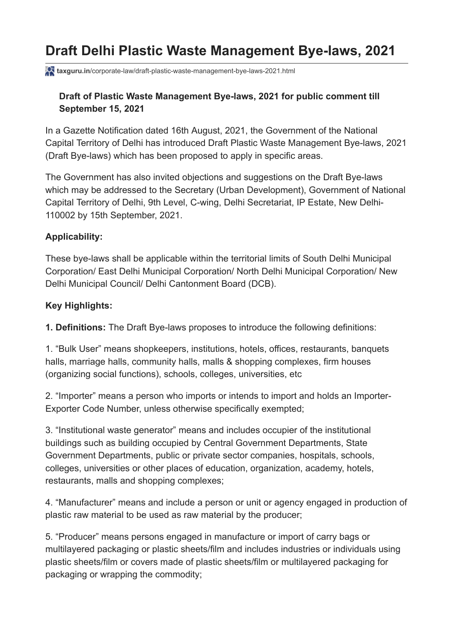# **Draft Delhi Plastic Waste Management Bye-laws, 2021**

**taxguru.in**[/corporate-law/draft-plastic-waste-management-bye-laws-2021.html](https://taxguru.in/corporate-law/draft-plastic-waste-management-bye-laws-2021.html)

### **Draft of Plastic Waste Management Bye-laws, 2021 for public comment till September 15, 2021**

In a Gazette Notification dated 16th August, 2021, the Government of the National Capital Territory of Delhi has introduced Draft Plastic Waste Management Bye-laws, 2021 (Draft Bye-laws) which has been proposed to apply in specific areas.

The Government has also invited objections and suggestions on the Draft Bye-laws which may be addressed to the Secretary (Urban Development), Government of National Capital Territory of Delhi, 9th Level, C-wing, Delhi Secretariat, IP Estate, New Delhi-110002 by 15th September, 2021.

#### **Applicability:**

These bye-laws shall be applicable within the territorial limits of South Delhi Municipal Corporation/ East Delhi Municipal Corporation/ North Delhi Municipal Corporation/ New Delhi Municipal Council/ Delhi Cantonment Board (DCB).

#### **Key Highlights:**

**1. Definitions:** The Draft Bye-laws proposes to introduce the following definitions:

1. "Bulk User" means shopkeepers, institutions, hotels, offices, restaurants, banquets halls, marriage halls, community halls, malls & shopping complexes, firm houses (organizing social functions), schools, colleges, universities, etc

2. "Importer" means a person who imports or intends to import and holds an Importer-Exporter Code Number, unless otherwise specifically exempted;

3. "Institutional waste generator" means and includes occupier of the institutional buildings such as building occupied by Central Government Departments, State Government Departments, public or private sector companies, hospitals, schools, colleges, universities or other places of education, organization, academy, hotels, restaurants, malls and shopping complexes;

4. "Manufacturer" means and include a person or unit or agency engaged in production of plastic raw material to be used as raw material by the producer;

5. "Producer" means persons engaged in manufacture or import of carry bags or multilayered packaging or plastic sheets/film and includes industries or individuals using plastic sheets/film or covers made of plastic sheets/film or multilayered packaging for packaging or wrapping the commodity;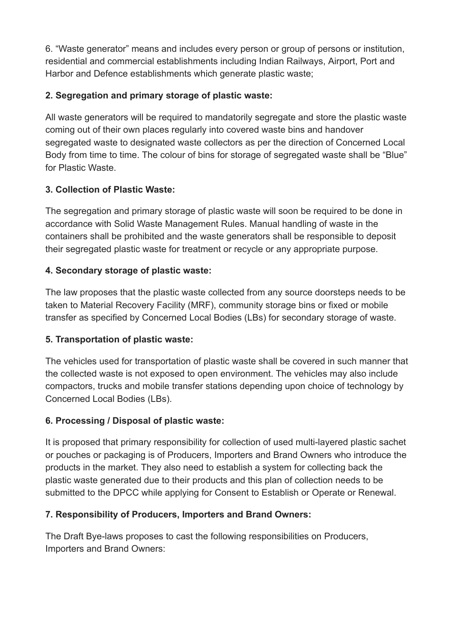6. "Waste generator" means and includes every person or group of persons or institution, residential and commercial establishments including Indian Railways, Airport, Port and Harbor and Defence establishments which generate plastic waste;

### **2. Segregation and primary storage of plastic waste:**

All waste generators will be required to mandatorily segregate and store the plastic waste coming out of their own places regularly into covered waste bins and handover segregated waste to designated waste collectors as per the direction of Concerned Local Body from time to time. The colour of bins for storage of segregated waste shall be "Blue" for Plastic Waste.

### **3. Collection of Plastic Waste:**

The segregation and primary storage of plastic waste will soon be required to be done in accordance with Solid Waste Management Rules. Manual handling of waste in the containers shall be prohibited and the waste generators shall be responsible to deposit their segregated plastic waste for treatment or recycle or any appropriate purpose.

### **4. Secondary storage of plastic waste:**

The law proposes that the plastic waste collected from any source doorsteps needs to be taken to Material Recovery Facility (MRF), community storage bins or fixed or mobile transfer as specified by Concerned Local Bodies (LBs) for secondary storage of waste.

### **5. Transportation of plastic waste:**

The vehicles used for transportation of plastic waste shall be covered in such manner that the collected waste is not exposed to open environment. The vehicles may also include compactors, trucks and mobile transfer stations depending upon choice of technology by Concerned Local Bodies (LBs).

### **6. Processing / Disposal of plastic waste:**

It is proposed that primary responsibility for collection of used multi-layered plastic sachet or pouches or packaging is of Producers, Importers and Brand Owners who introduce the products in the market. They also need to establish a system for collecting back the plastic waste generated due to their products and this plan of collection needs to be submitted to the DPCC while applying for Consent to Establish or Operate or Renewal.

### **7. Responsibility of Producers, Importers and Brand Owners:**

The Draft Bye-laws proposes to cast the following responsibilities on Producers, Importers and Brand Owners: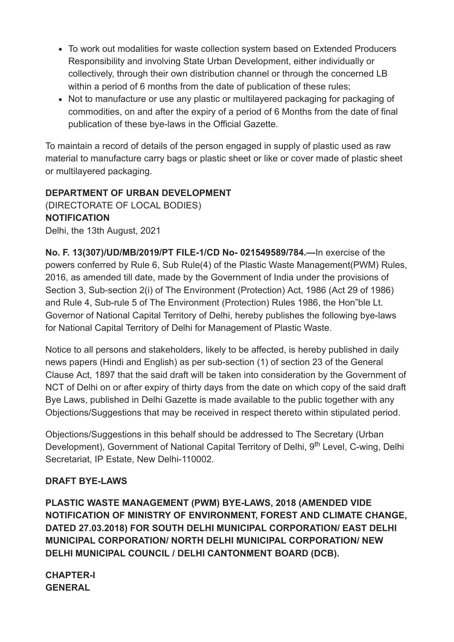- To work out modalities for waste collection system based on Extended Producers Responsibility and involving State Urban Development, either individually or collectively, through their own distribution channel or through the concerned LB within a period of 6 months from the date of publication of these rules;
- Not to manufacture or use any plastic or multilayered packaging for packaging of commodities, on and after the expiry of a period of 6 Months from the date of final publication of these bye-laws in the Official Gazette.

To maintain a record of details of the person engaged in supply of plastic used as raw material to manufacture carry bags or plastic sheet or like or cover made of plastic sheet or multilayered packaging.

### **DEPARTMENT OF URBAN DEVELOPMENT**

(DIRECTORATE OF LOCAL BODIES) **NOTIFICATION** Delhi, the 13th August, 2021

**No. F. 13(307)/UD/MB/2019/PT FILE-1/CD No- 021549589/784.—**In exercise of the powers conferred by Rule 6, Sub Rule(4) of the Plastic Waste Management(PWM) Rules, 2016, as amended till date, made by the Government of India under the provisions of Section 3, Sub-section 2(i) of The Environment (Protection) Act, 1986 (Act 29 of 1986) and Rule 4, Sub-rule 5 of The Environment (Protection) Rules 1986, the Hon"ble Lt. Governor of National Capital Territory of Delhi, hereby publishes the following bye-laws for National Capital Territory of Delhi for Management of Plastic Waste.

Notice to all persons and stakeholders, likely to be affected, is hereby published in daily news papers (Hindi and English) as per sub-section (1) of section 23 of the General Clause Act, 1897 that the said draft will be taken into consideration by the Government of NCT of Delhi on or after expiry of thirty days from the date on which copy of the said draft Bye Laws, published in Delhi Gazette is made available to the public together with any Objections/Suggestions that may be received in respect thereto within stipulated period.

Objections/Suggestions in this behalf should be addressed to The Secretary (Urban Development), Government of National Capital Territory of Delhi, 9<sup>th</sup> Level, C-wing, Delhi Secretariat, IP Estate, New Delhi-110002.

### **DRAFT BYE-LAWS**

**PLASTIC WASTE MANAGEMENT (PWM) BYE-LAWS, 2018 (AMENDED VIDE NOTIFICATION OF MINISTRY OF ENVIRONMENT, FOREST AND CLIMATE CHANGE, DATED 27.03.2018) FOR SOUTH DELHI MUNICIPAL CORPORATION/ EAST DELHI MUNICIPAL CORPORATION/ NORTH DELHI MUNICIPAL CORPORATION/ NEW DELHI MUNICIPAL COUNCIL / DELHI CANTONMENT BOARD (DCB).**

**CHAPTER-I GENERAL**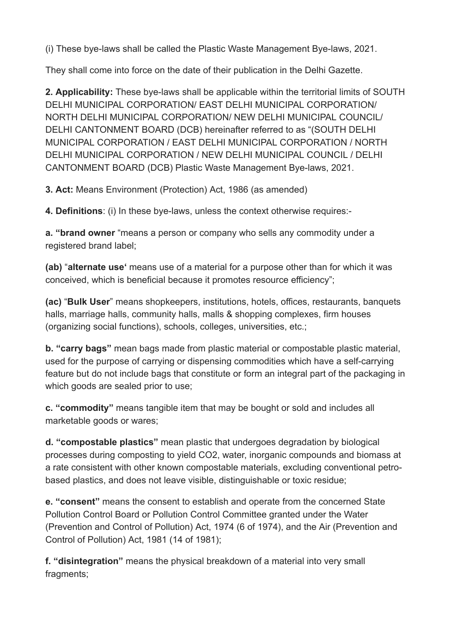(i) These bye-laws shall be called the Plastic Waste Management Bye-laws, 2021.

They shall come into force on the date of their publication in the Delhi Gazette.

**2. Applicability:** These bye-laws shall be applicable within the territorial limits of SOUTH DELHI MUNICIPAL CORPORATION/ EAST DELHI MUNICIPAL CORPORATION/ NORTH DELHI MUNICIPAL CORPORATION/ NEW DELHI MUNICIPAL COUNCIL/ DELHI CANTONMENT BOARD (DCB) hereinafter referred to as "(SOUTH DELHI MUNICIPAL CORPORATION / EAST DELHI MUNICIPAL CORPORATION / NORTH DELHI MUNICIPAL CORPORATION / NEW DELHI MUNICIPAL COUNCIL / DELHI CANTONMENT BOARD (DCB) Plastic Waste Management Bye-laws, 2021.

**3. Act:** Means Environment (Protection) Act, 1986 (as amended)

**4. Definitions**: (i) In these bye-laws, unless the context otherwise requires:-

**a. "brand owner** "means a person or company who sells any commodity under a registered brand label;

**(ab)** "**alternate use'** means use of a material for a purpose other than for which it was conceived, which is beneficial because it promotes resource efficiency";

**(ac)** "**Bulk User**" means shopkeepers, institutions, hotels, offices, restaurants, banquets halls, marriage halls, community halls, malls & shopping complexes, firm houses (organizing social functions), schools, colleges, universities, etc.;

**b. "carry bags"** mean bags made from plastic material or compostable plastic material, used for the purpose of carrying or dispensing commodities which have a self-carrying feature but do not include bags that constitute or form an integral part of the packaging in which goods are sealed prior to use;

**c. "commodity"** means tangible item that may be bought or sold and includes all marketable goods or wares;

**d. "compostable plastics"** mean plastic that undergoes degradation by biological processes during composting to yield CO2, water, inorganic compounds and biomass at a rate consistent with other known compostable materials, excluding conventional petrobased plastics, and does not leave visible, distinguishable or toxic residue;

**e. "consent"** means the consent to establish and operate from the concerned State Pollution Control Board or Pollution Control Committee granted under the Water (Prevention and Control of Pollution) Act, 1974 (6 of 1974), and the Air (Prevention and Control of Pollution) Act, 1981 (14 of 1981);

**f. "disintegration"** means the physical breakdown of a material into very small fragments: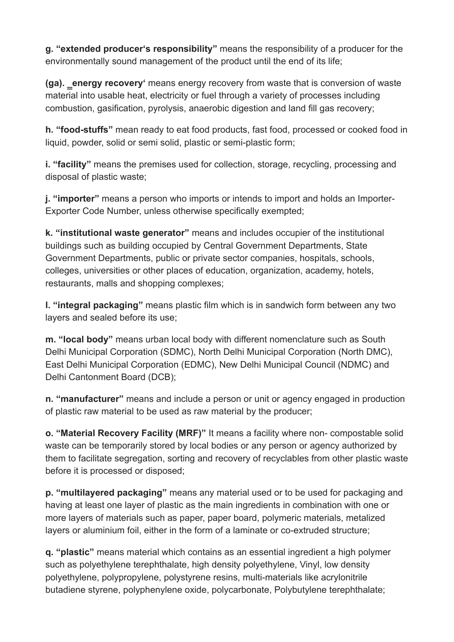**g. "extended producer's responsibility"** means the responsibility of a producer for the environmentally sound management of the product until the end of its life;

**(ga). ‗energy recovery'** means energy recovery from waste that is conversion of waste material into usable heat, electricity or fuel through a variety of processes including combustion, gasification, pyrolysis, anaerobic digestion and land fill gas recovery;

**h. "food-stuffs"** mean ready to eat food products, fast food, processed or cooked food in liquid, powder, solid or semi solid, plastic or semi-plastic form;

**i. "facility"** means the premises used for collection, storage, recycling, processing and disposal of plastic waste;

**j. "importer"** means a person who imports or intends to import and holds an Importer-Exporter Code Number, unless otherwise specifically exempted;

**k. "institutional waste generator"** means and includes occupier of the institutional buildings such as building occupied by Central Government Departments, State Government Departments, public or private sector companies, hospitals, schools, colleges, universities or other places of education, organization, academy, hotels, restaurants, malls and shopping complexes;

**l. "integral packaging"** means plastic film which is in sandwich form between any two layers and sealed before its use;

**m. "local body"** means urban local body with different nomenclature such as South Delhi Municipal Corporation (SDMC), North Delhi Municipal Corporation (North DMC), East Delhi Municipal Corporation (EDMC), New Delhi Municipal Council (NDMC) and Delhi Cantonment Board (DCB);

**n. "manufacturer"** means and include a person or unit or agency engaged in production of plastic raw material to be used as raw material by the producer;

**o. "Material Recovery Facility (MRF)"** It means a facility where non- compostable solid waste can be temporarily stored by local bodies or any person or agency authorized by them to facilitate segregation, sorting and recovery of recyclables from other plastic waste before it is processed or disposed;

**p. "multilayered packaging"** means any material used or to be used for packaging and having at least one layer of plastic as the main ingredients in combination with one or more layers of materials such as paper, paper board, polymeric materials, metalized layers or aluminium foil, either in the form of a laminate or co-extruded structure;

**q. "plastic"** means material which contains as an essential ingredient a high polymer such as polyethylene terephthalate, high density polyethylene, Vinyl, low density polyethylene, polypropylene, polystyrene resins, multi-materials like acrylonitrile butadiene styrene, polyphenylene oxide, polycarbonate, Polybutylene terephthalate;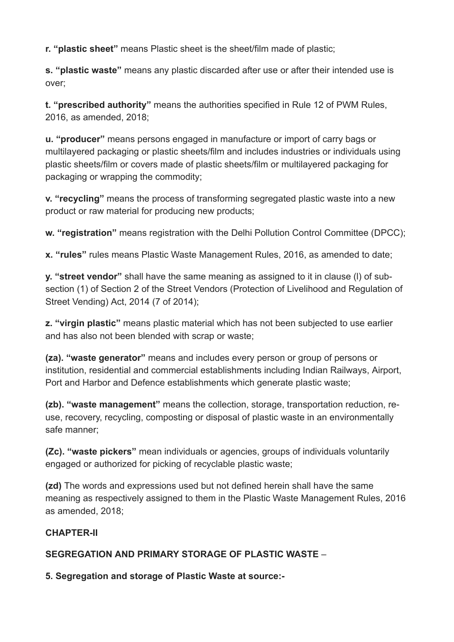**r. "plastic sheet"** means Plastic sheet is the sheet/film made of plastic;

**s. "plastic waste"** means any plastic discarded after use or after their intended use is over;

**t. "prescribed authority"** means the authorities specified in Rule 12 of PWM Rules, 2016, as amended, 2018;

**u. "producer"** means persons engaged in manufacture or import of carry bags or multilayered packaging or plastic sheets/film and includes industries or individuals using plastic sheets/film or covers made of plastic sheets/film or multilayered packaging for packaging or wrapping the commodity;

**v. "recycling"** means the process of transforming segregated plastic waste into a new product or raw material for producing new products;

**w. "registration"** means registration with the Delhi Pollution Control Committee (DPCC);

**x. "rules"** rules means Plastic Waste Management Rules, 2016, as amended to date;

**y. "street vendor"** shall have the same meaning as assigned to it in clause (l) of subsection (1) of Section 2 of the Street Vendors (Protection of Livelihood and Regulation of Street Vending) Act, 2014 (7 of 2014);

**z. "virgin plastic"** means plastic material which has not been subjected to use earlier and has also not been blended with scrap or waste;

**(za). "waste generator"** means and includes every person or group of persons or institution, residential and commercial establishments including Indian Railways, Airport, Port and Harbor and Defence establishments which generate plastic waste;

**(zb). "waste management"** means the collection, storage, transportation reduction, reuse, recovery, recycling, composting or disposal of plastic waste in an environmentally safe manner;

**(Zc). "waste pickers"** mean individuals or agencies, groups of individuals voluntarily engaged or authorized for picking of recyclable plastic waste;

**(zd)** The words and expressions used but not defined herein shall have the same meaning as respectively assigned to them in the Plastic Waste Management Rules, 2016 as amended, 2018;

### **CHAPTER-II**

**SEGREGATION AND PRIMARY STORAGE OF PLASTIC WASTE** –

**5. Segregation and storage of Plastic Waste at source:-**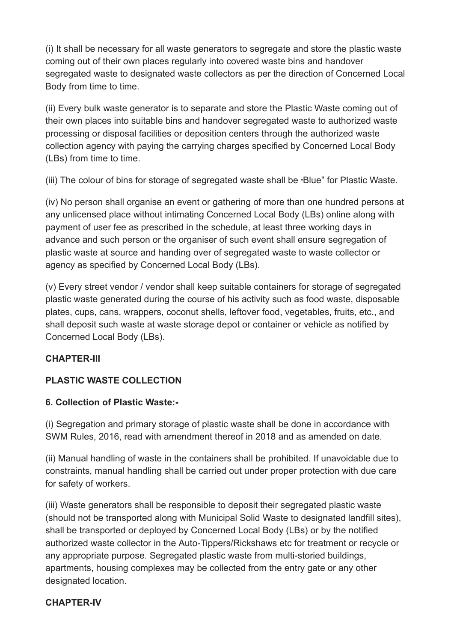(i) It shall be necessary for all waste generators to segregate and store the plastic waste coming out of their own places regularly into covered waste bins and handover segregated waste to designated waste collectors as per the direction of Concerned Local Body from time to time.

(ii) Every bulk waste generator is to separate and store the Plastic Waste coming out of their own places into suitable bins and handover segregated waste to authorized waste processing or disposal facilities or deposition centers through the authorized waste collection agency with paying the carrying charges specified by Concerned Local Body (LBs) from time to time.

(iii) The colour of bins for storage of segregated waste shall be "Blue" for Plastic Waste.

(iv) No person shall organise an event or gathering of more than one hundred persons at any unlicensed place without intimating Concerned Local Body (LBs) online along with payment of user fee as prescribed in the schedule, at least three working days in advance and such person or the organiser of such event shall ensure segregation of plastic waste at source and handing over of segregated waste to waste collector or agency as specified by Concerned Local Body (LBs).

(v) Every street vendor / vendor shall keep suitable containers for storage of segregated plastic waste generated during the course of his activity such as food waste, disposable plates, cups, cans, wrappers, coconut shells, leftover food, vegetables, fruits, etc., and shall deposit such waste at waste storage depot or container or vehicle as notified by Concerned Local Body (LBs).

### **CHAPTER-III**

### **PLASTIC WASTE COLLECTION**

### **6. Collection of Plastic Waste:-**

(i) Segregation and primary storage of plastic waste shall be done in accordance with SWM Rules, 2016, read with amendment thereof in 2018 and as amended on date.

(ii) Manual handling of waste in the containers shall be prohibited. If unavoidable due to constraints, manual handling shall be carried out under proper protection with due care for safety of workers.

(iii) Waste generators shall be responsible to deposit their segregated plastic waste (should not be transported along with Municipal Solid Waste to designated landfill sites), shall be transported or deployed by Concerned Local Body (LBs) or by the notified authorized waste collector in the Auto-Tippers/Rickshaws etc for treatment or recycle or any appropriate purpose. Segregated plastic waste from multi-storied buildings, apartments, housing complexes may be collected from the entry gate or any other designated location.

#### **CHAPTER-IV**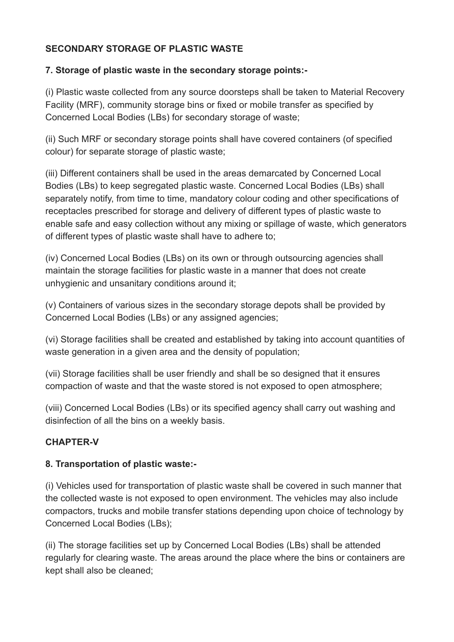### **SECONDARY STORAGE OF PLASTIC WASTE**

#### **7. Storage of plastic waste in the secondary storage points:-**

(i) Plastic waste collected from any source doorsteps shall be taken to Material Recovery Facility (MRF), community storage bins or fixed or mobile transfer as specified by Concerned Local Bodies (LBs) for secondary storage of waste;

(ii) Such MRF or secondary storage points shall have covered containers (of specified colour) for separate storage of plastic waste;

(iii) Different containers shall be used in the areas demarcated by Concerned Local Bodies (LBs) to keep segregated plastic waste. Concerned Local Bodies (LBs) shall separately notify, from time to time, mandatory colour coding and other specifications of receptacles prescribed for storage and delivery of different types of plastic waste to enable safe and easy collection without any mixing or spillage of waste, which generators of different types of plastic waste shall have to adhere to;

(iv) Concerned Local Bodies (LBs) on its own or through outsourcing agencies shall maintain the storage facilities for plastic waste in a manner that does not create unhygienic and unsanitary conditions around it;

(v) Containers of various sizes in the secondary storage depots shall be provided by Concerned Local Bodies (LBs) or any assigned agencies;

(vi) Storage facilities shall be created and established by taking into account quantities of waste generation in a given area and the density of population;

(vii) Storage facilities shall be user friendly and shall be so designed that it ensures compaction of waste and that the waste stored is not exposed to open atmosphere;

(viii) Concerned Local Bodies (LBs) or its specified agency shall carry out washing and disinfection of all the bins on a weekly basis.

### **CHAPTER-V**

### **8. Transportation of plastic waste:-**

(i) Vehicles used for transportation of plastic waste shall be covered in such manner that the collected waste is not exposed to open environment. The vehicles may also include compactors, trucks and mobile transfer stations depending upon choice of technology by Concerned Local Bodies (LBs);

(ii) The storage facilities set up by Concerned Local Bodies (LBs) shall be attended regularly for clearing waste. The areas around the place where the bins or containers are kept shall also be cleaned;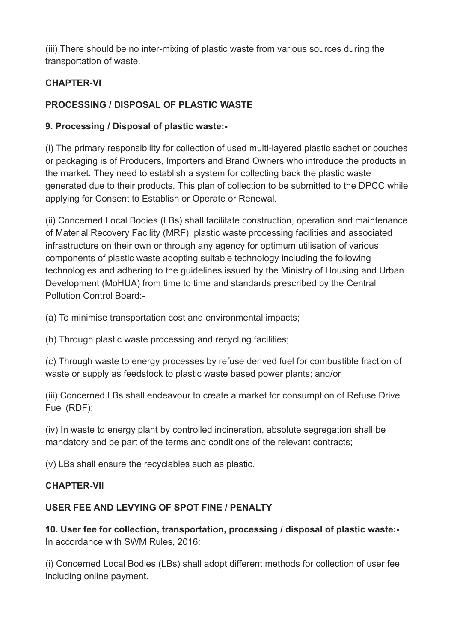(iii) There should be no inter-mixing of plastic waste from various sources during the transportation of waste.

### **CHAPTER-VI**

### **PROCESSING / DISPOSAL OF PLASTIC WASTE**

### **9. Processing / Disposal of plastic waste:-**

(i) The primary responsibility for collection of used multi-layered plastic sachet or pouches or packaging is of Producers, Importers and Brand Owners who introduce the products in the market. They need to establish a system for collecting back the plastic waste generated due to their products. This plan of collection to be submitted to the DPCC while applying for Consent to Establish or Operate or Renewal.

(ii) Concerned Local Bodies (LBs) shall facilitate construction, operation and maintenance of Material Recovery Facility (MRF), plastic waste processing facilities and associated infrastructure on their own or through any agency for optimum utilisation of various components of plastic waste adopting suitable technology including the following technologies and adhering to the guidelines issued by the Ministry of Housing and Urban Development (MoHUA) from time to time and standards prescribed by the Central Pollution Control Board:-

(a) To minimise transportation cost and environmental impacts;

(b) Through plastic waste processing and recycling facilities;

(c) Through waste to energy processes by refuse derived fuel for combustible fraction of waste or supply as feedstock to plastic waste based power plants; and/or

(iii) Concerned LBs shall endeavour to create a market for consumption of Refuse Drive Fuel (RDF);

(iv) In waste to energy plant by controlled incineration, absolute segregation shall be mandatory and be part of the terms and conditions of the relevant contracts;

(v) LBs shall ensure the recyclables such as plastic.

### **CHAPTER-VII**

### **USER FEE AND LEVYING OF SPOT FINE / PENALTY**

**10. User fee for collection, transportation, processing / disposal of plastic waste:-** In accordance with SWM Rules, 2016:

(i) Concerned Local Bodies (LBs) shall adopt different methods for collection of user fee including online payment.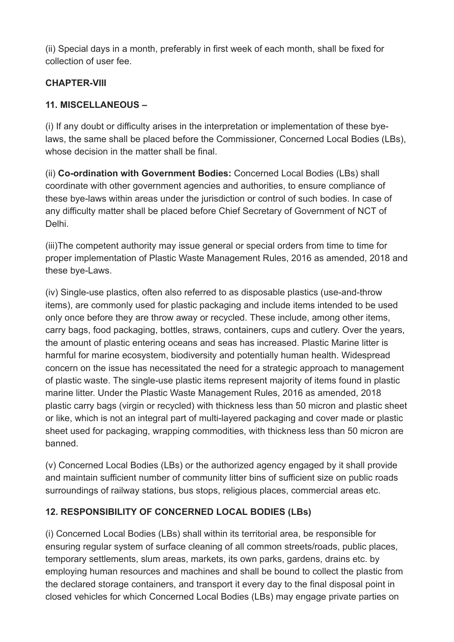(ii) Special days in a month, preferably in first week of each month, shall be fixed for collection of user fee.

### **CHAPTER-VIII**

### **11. MISCELLANEOUS –**

(i) If any doubt or difficulty arises in the interpretation or implementation of these byelaws, the same shall be placed before the Commissioner, Concerned Local Bodies (LBs), whose decision in the matter shall be final.

(ii) **Co-ordination with Government Bodies:** Concerned Local Bodies (LBs) shall coordinate with other government agencies and authorities, to ensure compliance of these bye-laws within areas under the jurisdiction or control of such bodies. In case of any difficulty matter shall be placed before Chief Secretary of Government of NCT of Delhi.

(iii)The competent authority may issue general or special orders from time to time for proper implementation of Plastic Waste Management Rules, 2016 as amended, 2018 and these bye-Laws.

(iv) Single-use plastics, often also referred to as disposable plastics (use-and-throw items), are commonly used for plastic packaging and include items intended to be used only once before they are throw away or recycled. These include, among other items, carry bags, food packaging, bottles, straws, containers, cups and cutlery. Over the years, the amount of plastic entering oceans and seas has increased. Plastic Marine litter is harmful for marine ecosystem, biodiversity and potentially human health. Widespread concern on the issue has necessitated the need for a strategic approach to management of plastic waste. The single-use plastic items represent majority of items found in plastic marine litter. Under the Plastic Waste Management Rules, 2016 as amended, 2018 plastic carry bags (virgin or recycled) with thickness less than 50 micron and plastic sheet or like, which is not an integral part of multi-layered packaging and cover made or plastic sheet used for packaging, wrapping commodities, with thickness less than 50 micron are banned.

(v) Concerned Local Bodies (LBs) or the authorized agency engaged by it shall provide and maintain sufficient number of community litter bins of sufficient size on public roads surroundings of railway stations, bus stops, religious places, commercial areas etc.

### **12. RESPONSIBILITY OF CONCERNED LOCAL BODIES (LBs)**

(i) Concerned Local Bodies (LBs) shall within its territorial area, be responsible for ensuring regular system of surface cleaning of all common streets/roads, public places, temporary settlements, slum areas, markets, its own parks, gardens, drains etc. by employing human resources and machines and shall be bound to collect the plastic from the declared storage containers, and transport it every day to the final disposal point in closed vehicles for which Concerned Local Bodies (LBs) may engage private parties on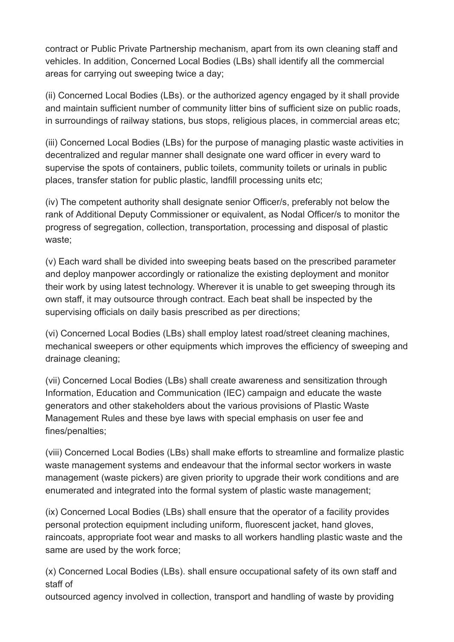contract or Public Private Partnership mechanism, apart from its own cleaning staff and vehicles. In addition, Concerned Local Bodies (LBs) shall identify all the commercial areas for carrying out sweeping twice a day;

(ii) Concerned Local Bodies (LBs). or the authorized agency engaged by it shall provide and maintain sufficient number of community litter bins of sufficient size on public roads, in surroundings of railway stations, bus stops, religious places, in commercial areas etc;

(iii) Concerned Local Bodies (LBs) for the purpose of managing plastic waste activities in decentralized and regular manner shall designate one ward officer in every ward to supervise the spots of containers, public toilets, community toilets or urinals in public places, transfer station for public plastic, landfill processing units etc;

(iv) The competent authority shall designate senior Officer/s, preferably not below the rank of Additional Deputy Commissioner or equivalent, as Nodal Officer/s to monitor the progress of segregation, collection, transportation, processing and disposal of plastic waste;

(v) Each ward shall be divided into sweeping beats based on the prescribed parameter and deploy manpower accordingly or rationalize the existing deployment and monitor their work by using latest technology. Wherever it is unable to get sweeping through its own staff, it may outsource through contract. Each beat shall be inspected by the supervising officials on daily basis prescribed as per directions;

(vi) Concerned Local Bodies (LBs) shall employ latest road/street cleaning machines, mechanical sweepers or other equipments which improves the efficiency of sweeping and drainage cleaning;

(vii) Concerned Local Bodies (LBs) shall create awareness and sensitization through Information, Education and Communication (IEC) campaign and educate the waste generators and other stakeholders about the various provisions of Plastic Waste Management Rules and these bye laws with special emphasis on user fee and fines/penalties;

(viii) Concerned Local Bodies (LBs) shall make efforts to streamline and formalize plastic waste management systems and endeavour that the informal sector workers in waste management (waste pickers) are given priority to upgrade their work conditions and are enumerated and integrated into the formal system of plastic waste management;

(ix) Concerned Local Bodies (LBs) shall ensure that the operator of a facility provides personal protection equipment including uniform, fluorescent jacket, hand gloves, raincoats, appropriate foot wear and masks to all workers handling plastic waste and the same are used by the work force;

(x) Concerned Local Bodies (LBs). shall ensure occupational safety of its own staff and staff of

outsourced agency involved in collection, transport and handling of waste by providing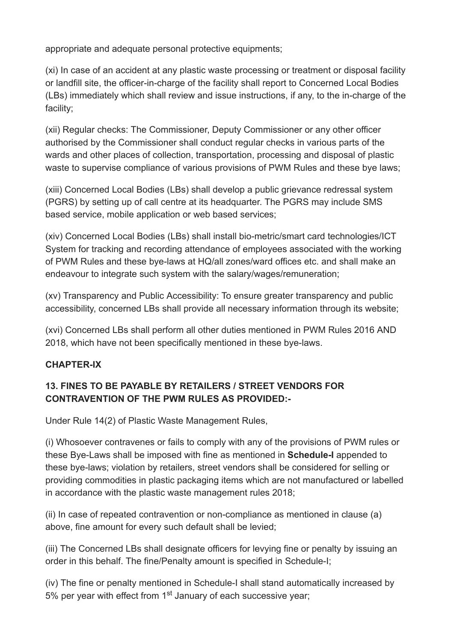appropriate and adequate personal protective equipments;

(xi) In case of an accident at any plastic waste processing or treatment or disposal facility or landfill site, the officer-in-charge of the facility shall report to Concerned Local Bodies (LBs) immediately which shall review and issue instructions, if any, to the in-charge of the facility;

(xii) Regular checks: The Commissioner, Deputy Commissioner or any other officer authorised by the Commissioner shall conduct regular checks in various parts of the wards and other places of collection, transportation, processing and disposal of plastic waste to supervise compliance of various provisions of PWM Rules and these bye laws;

(xiii) Concerned Local Bodies (LBs) shall develop a public grievance redressal system (PGRS) by setting up of call centre at its headquarter. The PGRS may include SMS based service, mobile application or web based services;

(xiv) Concerned Local Bodies (LBs) shall install bio-metric/smart card technologies/ICT System for tracking and recording attendance of employees associated with the working of PWM Rules and these bye-laws at HQ/all zones/ward offices etc. and shall make an endeavour to integrate such system with the salary/wages/remuneration;

(xv) Transparency and Public Accessibility: To ensure greater transparency and public accessibility, concerned LBs shall provide all necessary information through its website;

(xvi) Concerned LBs shall perform all other duties mentioned in PWM Rules 2016 AND 2018, which have not been specifically mentioned in these bye-laws.

### **CHAPTER-IX**

### **13. FINES TO BE PAYABLE BY RETAILERS / STREET VENDORS FOR CONTRAVENTION OF THE PWM RULES AS PROVIDED:-**

Under Rule 14(2) of Plastic Waste Management Rules,

(i) Whosoever contravenes or fails to comply with any of the provisions of PWM rules or these Bye-Laws shall be imposed with fine as mentioned in **Schedule-I** appended to these bye-laws; violation by retailers, street vendors shall be considered for selling or providing commodities in plastic packaging items which are not manufactured or labelled in accordance with the plastic waste management rules 2018;

(ii) In case of repeated contravention or non-compliance as mentioned in clause (a) above, fine amount for every such default shall be levied;

(iii) The Concerned LBs shall designate officers for levying fine or penalty by issuing an order in this behalf. The fine/Penalty amount is specified in Schedule-I;

(iv) The fine or penalty mentioned in Schedule-I shall stand automatically increased by 5% per year with effect from  $1<sup>st</sup>$  January of each successive year;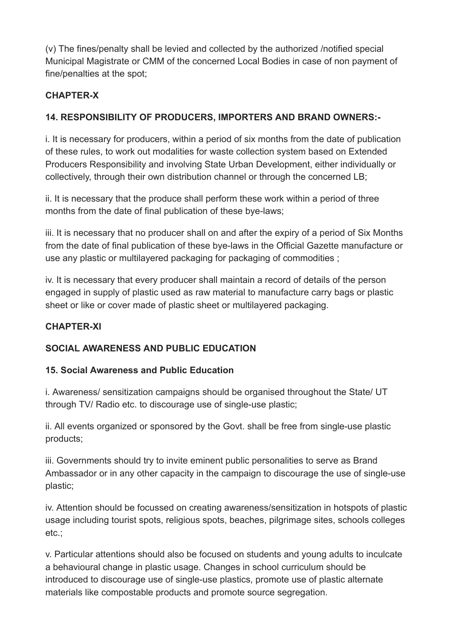(v) The fines/penalty shall be levied and collected by the authorized /notified special Municipal Magistrate or CMM of the concerned Local Bodies in case of non payment of fine/penalties at the spot;

### **CHAPTER-X**

### **14. RESPONSIBILITY OF PRODUCERS, IMPORTERS AND BRAND OWNERS:-**

i. It is necessary for producers, within a period of six months from the date of publication of these rules, to work out modalities for waste collection system based on Extended Producers Responsibility and involving State Urban Development, either individually or collectively, through their own distribution channel or through the concerned LB;

ii. It is necessary that the produce shall perform these work within a period of three months from the date of final publication of these bye-laws;

iii. It is necessary that no producer shall on and after the expiry of a period of Six Months from the date of final publication of these bye-laws in the Official Gazette manufacture or use any plastic or multilayered packaging for packaging of commodities ;

iv. It is necessary that every producer shall maintain a record of details of the person engaged in supply of plastic used as raw material to manufacture carry bags or plastic sheet or like or cover made of plastic sheet or multilayered packaging.

### **CHAPTER-XI**

### **SOCIAL AWARENESS AND PUBLIC EDUCATION**

### **15. Social Awareness and Public Education**

i. Awareness/ sensitization campaigns should be organised throughout the State/ UT through TV/ Radio etc. to discourage use of single-use plastic;

ii. All events organized or sponsored by the Govt. shall be free from single-use plastic products;

iii. Governments should try to invite eminent public personalities to serve as Brand Ambassador or in any other capacity in the campaign to discourage the use of single-use plastic;

iv. Attention should be focussed on creating awareness/sensitization in hotspots of plastic usage including tourist spots, religious spots, beaches, pilgrimage sites, schools colleges etc.;

v. Particular attentions should also be focused on students and young adults to inculcate a behavioural change in plastic usage. Changes in school curriculum should be introduced to discourage use of single-use plastics, promote use of plastic alternate materials like compostable products and promote source segregation.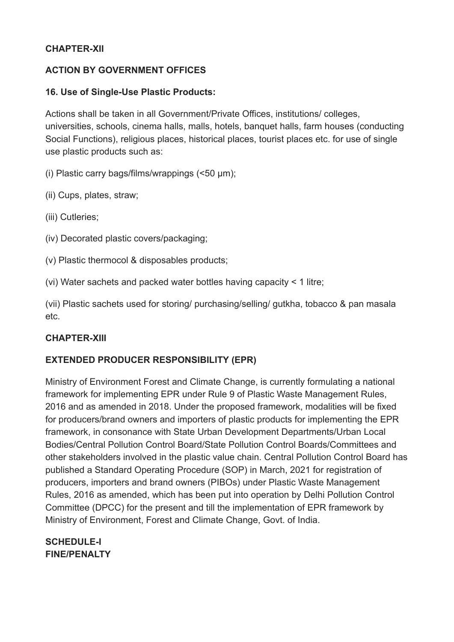#### **CHAPTER-XII**

#### **ACTION BY GOVERNMENT OFFICES**

#### **16. Use of Single-Use Plastic Products:**

Actions shall be taken in all Government/Private Offices, institutions/ colleges, universities, schools, cinema halls, malls, hotels, banquet halls, farm houses (conducting Social Functions), religious places, historical places, tourist places etc. for use of single use plastic products such as:

(i) Plastic carry bags/films/wrappings (<50 µm);

- (ii) Cups, plates, straw;
- (iii) Cutleries;
- (iv) Decorated plastic covers/packaging;
- (v) Plastic thermocol & disposables products;
- (vi) Water sachets and packed water bottles having capacity < 1 litre;

(vii) Plastic sachets used for storing/ purchasing/selling/ gutkha, tobacco & pan masala etc.

### **CHAPTER-XIII**

### **EXTENDED PRODUCER RESPONSIBILITY (EPR)**

Ministry of Environment Forest and Climate Change, is currently formulating a national framework for implementing EPR under Rule 9 of Plastic Waste Management Rules, 2016 and as amended in 2018. Under the proposed framework, modalities will be fixed for producers/brand owners and importers of plastic products for implementing the EPR framework, in consonance with State Urban Development Departments/Urban Local Bodies/Central Pollution Control Board/State Pollution Control Boards/Committees and other stakeholders involved in the plastic value chain. Central Pollution Control Board has published a Standard Operating Procedure (SOP) in March, 2021 for registration of producers, importers and brand owners (PIBOs) under Plastic Waste Management Rules, 2016 as amended, which has been put into operation by Delhi Pollution Control Committee (DPCC) for the present and till the implementation of EPR framework by Ministry of Environment, Forest and Climate Change, Govt. of India.

### **SCHEDULE-I FINE/PENALTY**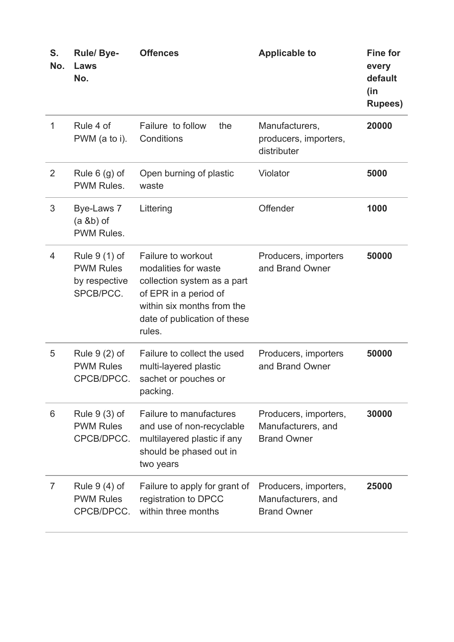| S.<br>No.      | <b>Rule/Bye-</b><br>Laws<br>No.                                 | <b>Offences</b>                                                                                                                                                            | <b>Applicable to</b>                                              | <b>Fine for</b><br>every<br>default<br>(in<br><b>Rupees)</b> |
|----------------|-----------------------------------------------------------------|----------------------------------------------------------------------------------------------------------------------------------------------------------------------------|-------------------------------------------------------------------|--------------------------------------------------------------|
| 1              | Rule 4 of<br>PWM (a to i).                                      | Failure to follow<br>the<br>Conditions                                                                                                                                     | Manufacturers,<br>producers, importers,<br>distributer            | 20000                                                        |
| $\overline{2}$ | Rule $6$ (g) of<br>PWM Rules.                                   | Open burning of plastic<br>waste                                                                                                                                           | Violator                                                          | 5000                                                         |
| 3              | Bye-Laws 7<br>$(a & b)$ of<br>PWM Rules.                        | Littering                                                                                                                                                                  | Offender                                                          | 1000                                                         |
| 4              | Rule 9 (1) of<br><b>PWM Rules</b><br>by respective<br>SPCB/PCC. | Failure to workout<br>modalities for waste<br>collection system as a part<br>of EPR in a period of<br>within six months from the<br>date of publication of these<br>rules. | Producers, importers<br>and Brand Owner                           | 50000                                                        |
| 5              | Rule $9(2)$ of<br><b>PWM Rules</b><br>CPCB/DPCC.                | Failure to collect the used<br>multi-layered plastic<br>sachet or pouches or<br>packing.                                                                                   | Producers, importers<br>and Brand Owner                           | 50000                                                        |
| 6              | Rule $9(3)$ of<br><b>PWM Rules</b><br>CPCB/DPCC.                | <b>Failure to manufactures</b><br>and use of non-recyclable<br>multilayered plastic if any<br>should be phased out in<br>two years                                         | Producers, importers,<br>Manufacturers, and<br><b>Brand Owner</b> | 30000                                                        |
| $\overline{7}$ | Rule $9(4)$ of<br><b>PWM Rules</b><br>CPCB/DPCC.                | Failure to apply for grant of<br>registration to DPCC<br>within three months                                                                                               | Producers, importers,<br>Manufacturers, and<br><b>Brand Owner</b> | 25000                                                        |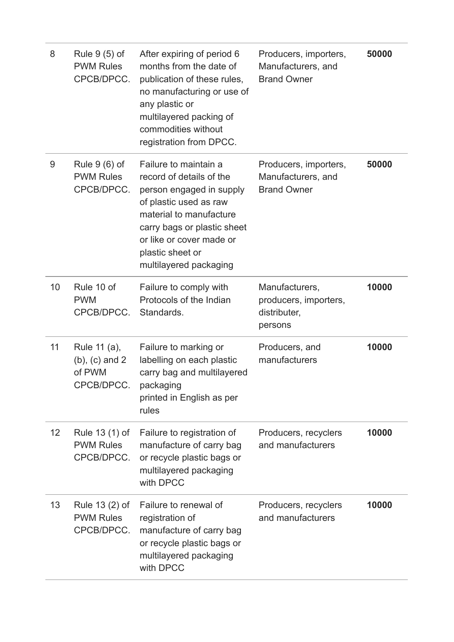| 8  | Rule 9 (5) of<br><b>PWM Rules</b><br>CPCB/DPCC.             | After expiring of period 6<br>months from the date of<br>publication of these rules,<br>no manufacturing or use of<br>any plastic or<br>multilayered packing of<br>commodities without<br>registration from DPCC.                           | Producers, importers,<br>Manufacturers, and<br><b>Brand Owner</b>  | 50000 |
|----|-------------------------------------------------------------|---------------------------------------------------------------------------------------------------------------------------------------------------------------------------------------------------------------------------------------------|--------------------------------------------------------------------|-------|
| 9  | Rule $9(6)$ of<br><b>PWM Rules</b><br>CPCB/DPCC.            | Failure to maintain a<br>record of details of the<br>person engaged in supply<br>of plastic used as raw<br>material to manufacture<br>carry bags or plastic sheet<br>or like or cover made or<br>plastic sheet or<br>multilayered packaging | Producers, importers,<br>Manufacturers, and<br><b>Brand Owner</b>  | 50000 |
| 10 | Rule 10 of<br><b>PWM</b><br>CPCB/DPCC.                      | Failure to comply with<br>Protocols of the Indian<br>Standards.                                                                                                                                                                             | Manufacturers,<br>producers, importers,<br>distributer,<br>persons | 10000 |
| 11 | Rule 11 (a),<br>$(b)$ , $(c)$ and 2<br>of PWM<br>CPCB/DPCC. | Failure to marking or<br>labelling on each plastic<br>carry bag and multilayered<br>packaging<br>printed in English as per<br>rules                                                                                                         | Producers, and<br>manufacturers                                    | 10000 |
| 12 | Rule 13 (1) of<br><b>PWM Rules</b><br>CPCB/DPCC.            | Failure to registration of<br>manufacture of carry bag<br>or recycle plastic bags or<br>multilayered packaging<br>with DPCC                                                                                                                 | Producers, recyclers<br>and manufacturers                          | 10000 |
| 13 | Rule 13 (2) of<br><b>PWM Rules</b><br>CPCB/DPCC.            | Failure to renewal of<br>registration of<br>manufacture of carry bag<br>or recycle plastic bags or<br>multilayered packaging<br>with DPCC                                                                                                   | Producers, recyclers<br>and manufacturers                          | 10000 |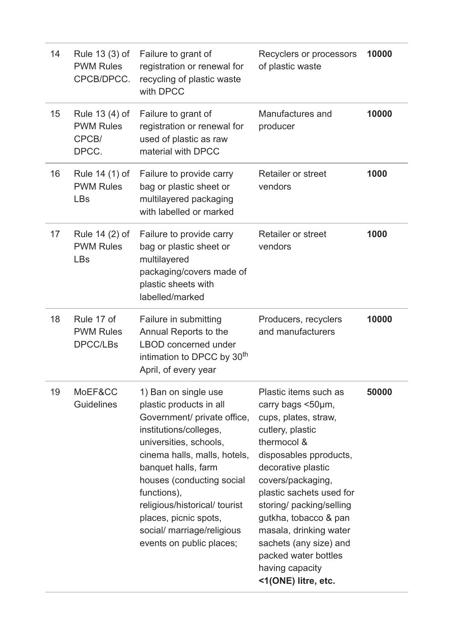| 14 | Rule 13 (3) of<br><b>PWM Rules</b><br>CPCB/DPCC.     | Failure to grant of<br>registration or renewal for<br>recycling of plastic waste<br>with DPCC                                                                                                                                                                                                                                                             | Recyclers or processors<br>of plastic waste                                                                                                                                                                                                                                                                                                                                       | 10000 |
|----|------------------------------------------------------|-----------------------------------------------------------------------------------------------------------------------------------------------------------------------------------------------------------------------------------------------------------------------------------------------------------------------------------------------------------|-----------------------------------------------------------------------------------------------------------------------------------------------------------------------------------------------------------------------------------------------------------------------------------------------------------------------------------------------------------------------------------|-------|
| 15 | Rule 13 (4) of<br><b>PWM Rules</b><br>CPCB/<br>DPCC. | Failure to grant of<br>registration or renewal for<br>used of plastic as raw<br>material with DPCC                                                                                                                                                                                                                                                        | Manufactures and<br>producer                                                                                                                                                                                                                                                                                                                                                      | 10000 |
| 16 | Rule 14 (1) of<br><b>PWM Rules</b><br><b>LBs</b>     | Failure to provide carry<br>bag or plastic sheet or<br>multilayered packaging<br>with labelled or marked                                                                                                                                                                                                                                                  | <b>Retailer or street</b><br>vendors                                                                                                                                                                                                                                                                                                                                              | 1000  |
| 17 | Rule 14 (2) of<br><b>PWM Rules</b><br><b>LBs</b>     | Failure to provide carry<br>bag or plastic sheet or<br>multilayered<br>packaging/covers made of<br>plastic sheets with<br>labelled/marked                                                                                                                                                                                                                 | <b>Retailer or street</b><br>vendors                                                                                                                                                                                                                                                                                                                                              | 1000  |
| 18 | Rule 17 of<br><b>PWM Rules</b><br><b>DPCC/LBs</b>    | Failure in submitting<br>Annual Reports to the<br><b>LBOD</b> concerned under<br>intimation to DPCC by 30 <sup>th</sup><br>April, of every year                                                                                                                                                                                                           | Producers, recyclers<br>and manufacturers                                                                                                                                                                                                                                                                                                                                         | 10000 |
| 19 | MoEF&CC<br><b>Guidelines</b>                         | 1) Ban on single use<br>plastic products in all<br>Government/ private office,<br>institutions/colleges,<br>universities, schools,<br>cinema halls, malls, hotels,<br>banquet halls, farm<br>houses (conducting social<br>functions),<br>religious/historical/ tourist<br>places, picnic spots,<br>social/ marriage/religious<br>events on public places; | Plastic items such as<br>carry bags <50µm,<br>cups, plates, straw,<br>cutlery, plastic<br>thermocol &<br>disposables pproducts,<br>decorative plastic<br>covers/packaging,<br>plastic sachets used for<br>storing/ packing/selling<br>gutkha, tobacco & pan<br>masala, drinking water<br>sachets (any size) and<br>packed water bottles<br>having capacity<br><1(ONE) litre, etc. | 50000 |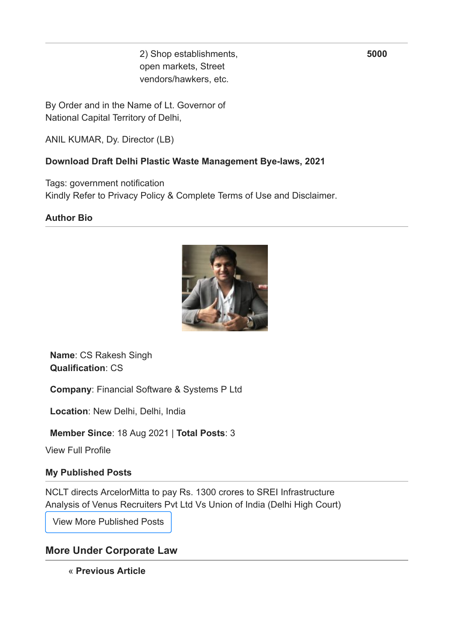2) Shop establishments, open markets, Street vendors/hawkers, etc.

By Order and in the Name of Lt. Governor of National Capital Territory of Delhi,

ANIL KUMAR, Dy. Director (LB)

#### **[Download Draft Delhi Plastic Waste Management Bye-laws, 2021](https://taxguru.in/wp-content/uploads/2021/08/Draft-Delhi-Plastic-Waste-Management-Bye-laws-2021.pdf)**

Tags: [government notification](https://taxguru.in/tag/government-notification/) Kindly Refer to [Privacy Policy](https://taxguru.in/privacy-policy/) & [Complete Terms of Use and Disclaimer](https://taxguru.in/finance/disclaimer-for-www-taxguru-in.html).

#### **Author Bio**



**Name**: [CS Rakesh Singh](https://taxguru.in/author/tocsrakesh_8060/) **Qualification**: CS

**Company**: Financial Software & Systems P Ltd

**Location**: New Delhi, Delhi, India

**Member Since**: 18 Aug 2021 | **Total Posts**: [3](https://taxguru.in/author/tocsrakesh_8060/)

[View Full Profile](https://taxguru.in/author/tocsrakesh_8060/)

#### **My Published Posts**

[NCLT directs ArcelorMitta to pay Rs. 1300 crores to SREI Infrastructure](https://taxguru.in/corporate-law/nclt-directs-arcelormitta-pay-rs-1300-crores-srei-infrastructure.html) [Analysis of Venus Recruiters Pvt Ltd Vs Union of India \(Delhi High Court\)](https://taxguru.in/corporate-law/analysis-venus-recruiters-pvt-ltd-vs-union-india-delhi-high-court.html)

[View More Published Posts](https://taxguru.in/author/tocsrakesh_8060/)

### **More Under [Corporate Law](https://taxguru.in/category/corporate-law/)**

« **[Previous Article](https://taxguru.in/company-law/ways-ngos-csr-funds-projects.html)**

**5000**